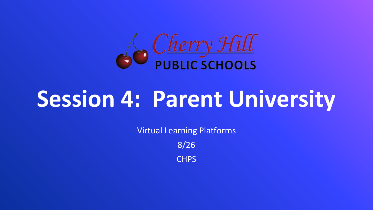

# **Session 4: Parent University**

Virtual Learning Platforms

8/26

**CHPS**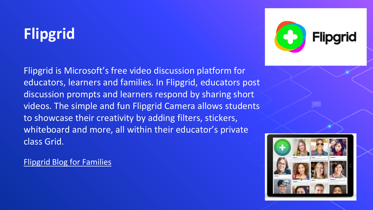# **Flipgrid**

Flipgrid is Microsoft's free video discussion platform for educators, learners and families. In Flipgrid, educators post discussion prompts and learners respond by sharing short videos. The simple and fun Flipgrid Camera allows students to showcase their creativity by adding filters, stickers, whiteboard and more, all within their educator's private class Grid.

[Flipgrid Blog for Families](https://blog.flipgrid.com/news/families)

Flipd

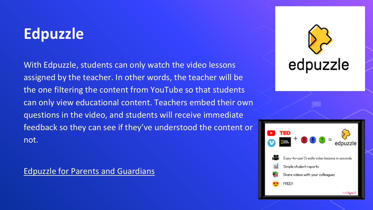### **Edpuzzle**

With Edpuzzle, students can only watch the video lessons assigned by the teacher. In other words, the teacher will be the one filtering the content from YouTube so that students can only view educational content. Teachers embed their own questions in the video, and students will receive immediate feedback so they can see if they've understood the content or not.

[Edpuzzle for Parents and Guardians](https://support.edpuzzle.com/hc/en-us/categories/360001511852-For-Parents)



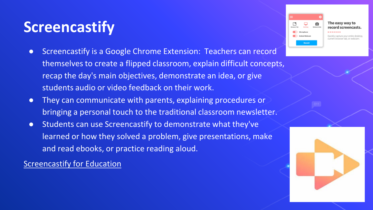### **Screencastify**

- Screencastify is a Google Chrome Extension: Teachers can record themselves to create a flipped classroom, explain difficult concepts, recap the day's main objectives, demonstrate an idea, or give students audio or video feedback on their work.
- They can communicate with parents, explaining procedures or bringing a personal touch to the traditional classroom newsletter.
- Students can use Screencastify to demonstrate what they've learned or how they solved a problem, give presentations, make and read ebooks, or practice reading aloud.

[Screencastify for Education](https://www.screencastify.com/education)



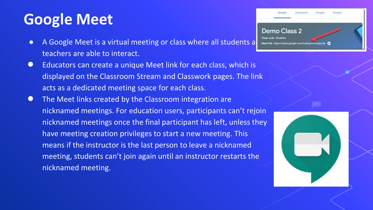### **Google Meet**

- A Google Meet is a virtual meeting or class where all students a **whenew and the intersect of Disabled** teachers are able to interact.
- Educators can create a unique Meet link for each class, which is displayed on the Classroom Stream and Classwork pages. The link acts as a dedicated meeting space for each class.
- The Meet links created by the Classroom integration are nicknamed meetings. For education users, participants can't rejoin [nicknamed](https://support.google.com/meet/answer/9302870#meet) meetings once the final participant has left, unless they have meeting creation privileges to start a new meeting. This means if the instructor is the last person to leave a nicknamed meeting, students can't join again until an instructor restarts the nicknamed meeting.

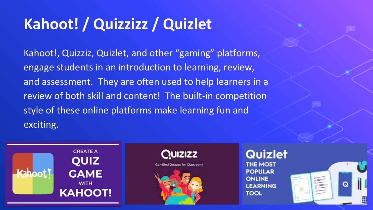## **Kahoot! / Quizzizz / Quizlet**

Kahoot!, Quizziz, Quizlet, and other "gaming" platforms, engage students in an introduction to learning, review, and assessment. They are often used to help learners in a review of both skill and content! The built-in competition style of these online platforms make learning fun and exciting.

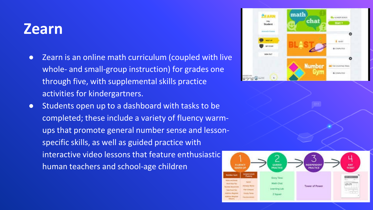#### **Zearn**

- Zearn is an online math curriculum (coupled with live whole- and small-group instruction) for grades one through five, with supplemental skills practice activities for kindergartners.
- Students open up to a dashboard with tasks to be completed; these include a variety of fluency warmups that promote general number sense and lessonspecific skills, as well as guided practice with interactive video lessons that feature enthusiastic human teachers and school-age children



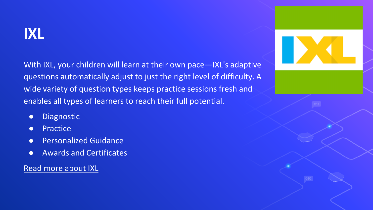#### **IXL**

With IXL, your children will learn at their own pace—IXL's adaptive questions automatically adjust to just the right level of difficulty. A wide variety of question types keeps practice sessions fresh and enables all types of learners to reach their full potential.

- Diagnostic
- Practice
- **•** Personalized Guidance
- Awards and Certificates

[Read more about IXL](https://www.ixl.com/)

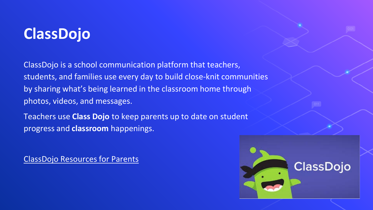### **ClassDojo**

ClassDojo is a school communication platform that teachers, students, and families use every day to build close-knit communities by sharing what's being learned in the classroom home through photos, videos, and messages.

Teachers use **Class Dojo** to keep parents up to date on student progress and **classroom** happenings.

[ClassDojo Resources for Parents](https://www.classdojo.com/resources/#parents)

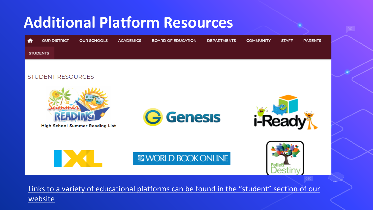### **Additional Platform Resources**

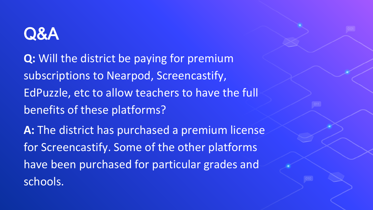# Q&A

**Q:** Will the district be paying for premium subscriptions to Nearpod, Screencastify, EdPuzzle, etc to allow teachers to have the full benefits of these platforms? **A:** The district has purchased a premium license for Screencastify. Some of the other platforms have been purchased for particular grades and schools.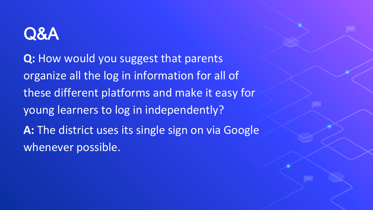# Q&A

**Q:** How would you suggest that parents organize all the log in information for all of these different platforms and make it easy for young learners to log in independently? A: The district uses its single sign on via Google whenever possible.